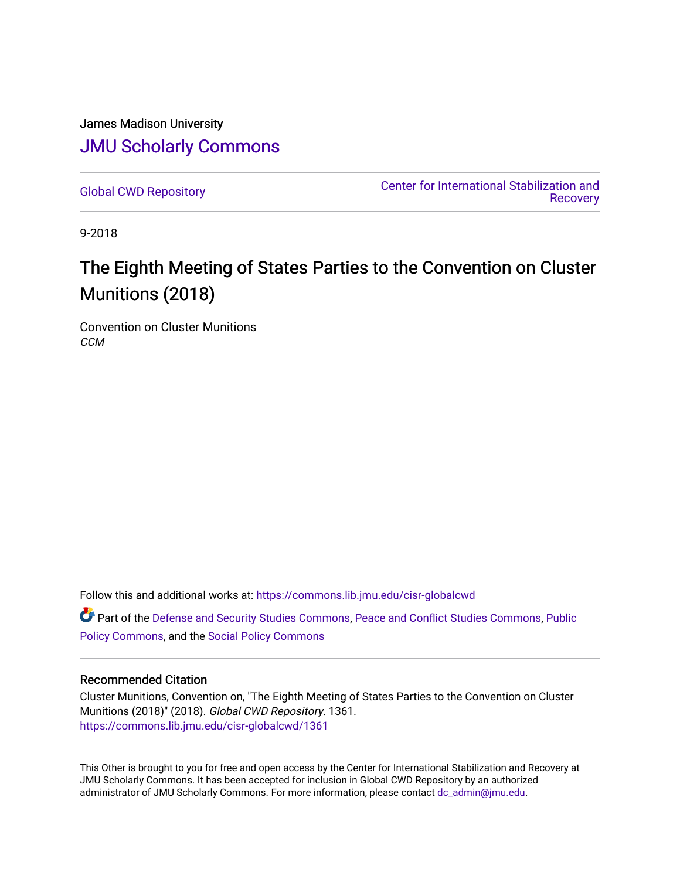James Madison University [JMU Scholarly Commons](https://commons.lib.jmu.edu/)

[Global CWD Repository](https://commons.lib.jmu.edu/cisr-globalcwd) [Center for International Stabilization and](https://commons.lib.jmu.edu/cisr)  **Recovery** 

9-2018

# The Eighth Meeting of States Parties to the Convention on Cluster Munitions (2018)

Convention on Cluster Munitions **CCM** 

Follow this and additional works at: [https://commons.lib.jmu.edu/cisr-globalcwd](https://commons.lib.jmu.edu/cisr-globalcwd?utm_source=commons.lib.jmu.edu%2Fcisr-globalcwd%2F1361&utm_medium=PDF&utm_campaign=PDFCoverPages)

Part of the [Defense and Security Studies Commons](http://network.bepress.com/hgg/discipline/394?utm_source=commons.lib.jmu.edu%2Fcisr-globalcwd%2F1361&utm_medium=PDF&utm_campaign=PDFCoverPages), [Peace and Conflict Studies Commons](http://network.bepress.com/hgg/discipline/397?utm_source=commons.lib.jmu.edu%2Fcisr-globalcwd%2F1361&utm_medium=PDF&utm_campaign=PDFCoverPages), [Public](http://network.bepress.com/hgg/discipline/400?utm_source=commons.lib.jmu.edu%2Fcisr-globalcwd%2F1361&utm_medium=PDF&utm_campaign=PDFCoverPages) [Policy Commons](http://network.bepress.com/hgg/discipline/400?utm_source=commons.lib.jmu.edu%2Fcisr-globalcwd%2F1361&utm_medium=PDF&utm_campaign=PDFCoverPages), and the [Social Policy Commons](http://network.bepress.com/hgg/discipline/1030?utm_source=commons.lib.jmu.edu%2Fcisr-globalcwd%2F1361&utm_medium=PDF&utm_campaign=PDFCoverPages)

#### Recommended Citation

Cluster Munitions, Convention on, "The Eighth Meeting of States Parties to the Convention on Cluster Munitions (2018)" (2018). Global CWD Repository. 1361. [https://commons.lib.jmu.edu/cisr-globalcwd/1361](https://commons.lib.jmu.edu/cisr-globalcwd/1361?utm_source=commons.lib.jmu.edu%2Fcisr-globalcwd%2F1361&utm_medium=PDF&utm_campaign=PDFCoverPages) 

This Other is brought to you for free and open access by the Center for International Stabilization and Recovery at JMU Scholarly Commons. It has been accepted for inclusion in Global CWD Repository by an authorized administrator of JMU Scholarly Commons. For more information, please contact [dc\\_admin@jmu.edu](mailto:dc_admin@jmu.edu).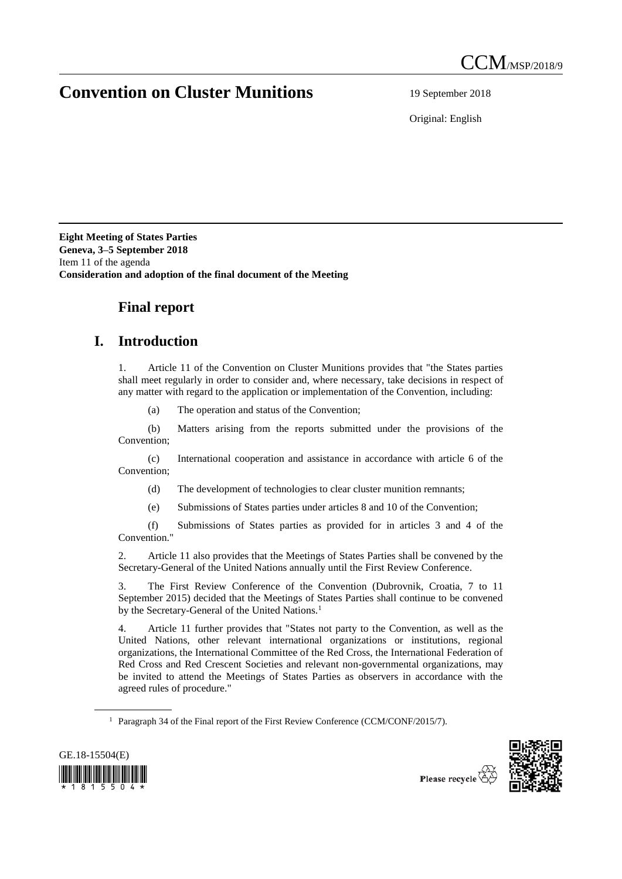## **Convention on Cluster Munitions** 19 September 2018

Original: English

**Eight Meeting of States Parties Geneva, 3–5 September 2018** Item 11 of the agenda **Consideration and adoption of the final document of the Meeting**

### **Final report**

### **I. Introduction**

1. Article 11 of the Convention on Cluster Munitions provides that "the States parties shall meet regularly in order to consider and, where necessary, take decisions in respect of any matter with regard to the application or implementation of the Convention, including:

(a) The operation and status of the Convention;

(b) Matters arising from the reports submitted under the provisions of the Convention;

(c) International cooperation and assistance in accordance with article 6 of the Convention;

(d) The development of technologies to clear cluster munition remnants;

(e) Submissions of States parties under articles 8 and 10 of the Convention;

(f) Submissions of States parties as provided for in articles 3 and 4 of the Convention."

2. Article 11 also provides that the Meetings of States Parties shall be convened by the Secretary-General of the United Nations annually until the First Review Conference.

3. The First Review Conference of the Convention (Dubrovnik, Croatia, 7 to 11 September 2015) decided that the Meetings of States Parties shall continue to be convened by the Secretary-General of the United Nations.<sup>1</sup>

4. Article 11 further provides that "States not party to the Convention, as well as the United Nations, other relevant international organizations or institutions, regional organizations, the International Committee of the Red Cross, the International Federation of Red Cross and Red Crescent Societies and relevant non-governmental organizations, may be invited to attend the Meetings of States Parties as observers in accordance with the agreed rules of procedure."

<sup>&</sup>lt;sup>1</sup> Paragraph 34 of the Final report of the First Review Conference (CCM/CONF/2015/7).



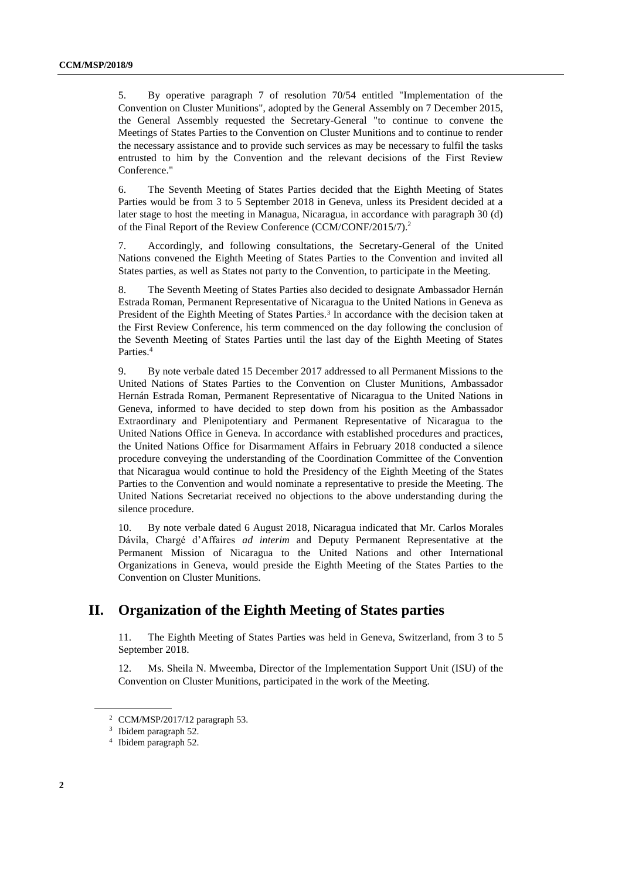5. By operative paragraph 7 of resolution 70/54 entitled "Implementation of the Convention on Cluster Munitions", adopted by the General Assembly on 7 December 2015, the General Assembly requested the Secretary-General "to continue to convene the Meetings of States Parties to the Convention on Cluster Munitions and to continue to render the necessary assistance and to provide such services as may be necessary to fulfil the tasks entrusted to him by the Convention and the relevant decisions of the First Review Conference."

6. The Seventh Meeting of States Parties decided that the Eighth Meeting of States Parties would be from 3 to 5 September 2018 in Geneva, unless its President decided at a later stage to host the meeting in Managua, Nicaragua, in accordance with paragraph 30 (d) of the Final Report of the Review Conference (CCM/CONF/2015/7).<sup>2</sup>

7. Accordingly, and following consultations, the Secretary-General of the United Nations convened the Eighth Meeting of States Parties to the Convention and invited all States parties, as well as States not party to the Convention, to participate in the Meeting.

8. The Seventh Meeting of States Parties also decided to designate Ambassador Hernán Estrada Roman, Permanent Representative of Nicaragua to the United Nations in Geneva as President of the Eighth Meeting of States Parties.<sup>3</sup> In accordance with the decision taken at the First Review Conference, his term commenced on the day following the conclusion of the Seventh Meeting of States Parties until the last day of the Eighth Meeting of States Parties. 4

9. By note verbale dated 15 December 2017 addressed to all Permanent Missions to the United Nations of States Parties to the Convention on Cluster Munitions, Ambassador Hernán Estrada Roman, Permanent Representative of Nicaragua to the United Nations in Geneva, informed to have decided to step down from his position as the Ambassador Extraordinary and Plenipotentiary and Permanent Representative of Nicaragua to the United Nations Office in Geneva. In accordance with established procedures and practices, the United Nations Office for Disarmament Affairs in February 2018 conducted a silence procedure conveying the understanding of the Coordination Committee of the Convention that Nicaragua would continue to hold the Presidency of the Eighth Meeting of the States Parties to the Convention and would nominate a representative to preside the Meeting. The United Nations Secretariat received no objections to the above understanding during the silence procedure.

10. By note verbale dated 6 August 2018, Nicaragua indicated that Mr. Carlos Morales Dávila, Chargé d'Affaires *ad interim* and Deputy Permanent Representative at the Permanent Mission of Nicaragua to the United Nations and other International Organizations in Geneva, would preside the Eighth Meeting of the States Parties to the Convention on Cluster Munitions.

### **II. Organization of the Eighth Meeting of States parties**

11. The Eighth Meeting of States Parties was held in Geneva, Switzerland, from 3 to 5 September 2018.

12. Ms. Sheila N. Mweemba, Director of the Implementation Support Unit (ISU) of the Convention on Cluster Munitions, participated in the work of the Meeting.

 $2$  CCM/MSP/2017/12 paragraph 53.

<sup>&</sup>lt;sup>3</sup> Ibidem paragraph 52.

<sup>4</sup> Ibidem paragraph 52.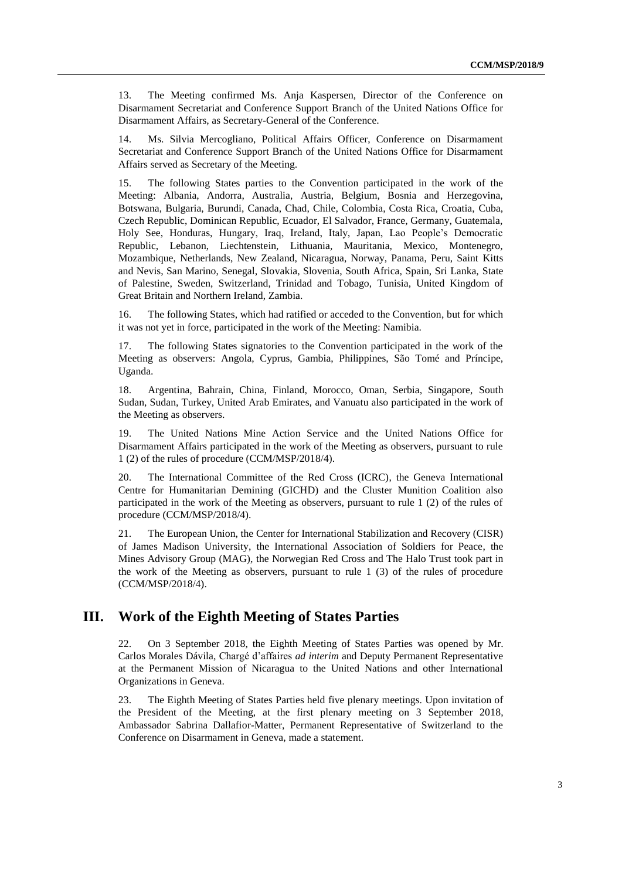13. The Meeting confirmed Ms. Anja Kaspersen, Director of the Conference on Disarmament Secretariat and Conference Support Branch of the United Nations Office for Disarmament Affairs, as Secretary-General of the Conference.

14. Ms. Silvia Mercogliano, Political Affairs Officer, Conference on Disarmament Secretariat and Conference Support Branch of the United Nations Office for Disarmament Affairs served as Secretary of the Meeting.

15. The following States parties to the Convention participated in the work of the Meeting: Albania, Andorra, Australia, Austria, Belgium, Bosnia and Herzegovina, Botswana, Bulgaria, Burundi, Canada, Chad, Chile, Colombia, Costa Rica, Croatia, Cuba, Czech Republic, Dominican Republic, Ecuador, El Salvador, France, Germany, Guatemala, Holy See, Honduras, Hungary, Iraq, Ireland, Italy, Japan, Lao People's Democratic Republic, Lebanon, Liechtenstein, Lithuania, Mauritania, Mexico, Montenegro, Mozambique, Netherlands, New Zealand, Nicaragua, Norway, Panama, Peru, Saint Kitts and Nevis, San Marino, Senegal, Slovakia, Slovenia, South Africa, Spain, Sri Lanka, State of Palestine, Sweden, Switzerland, Trinidad and Tobago, Tunisia, United Kingdom of Great Britain and Northern Ireland, Zambia.

16. The following States, which had ratified or acceded to the Convention, but for which it was not yet in force, participated in the work of the Meeting: Namibia.

17. The following States signatories to the Convention participated in the work of the Meeting as observers: Angola, Cyprus, Gambia, Philippines, São Tomé and Príncipe, Uganda.

18. Argentina, Bahrain, China, Finland, Morocco, Oman, Serbia, Singapore, South Sudan, Sudan, Turkey, United Arab Emirates, and Vanuatu also participated in the work of the Meeting as observers.

19. The United Nations Mine Action Service and the United Nations Office for Disarmament Affairs participated in the work of the Meeting as observers, pursuant to rule 1 (2) of the rules of procedure (CCM/MSP/2018/4).

20. The International Committee of the Red Cross (ICRC), the Geneva International Centre for Humanitarian Demining (GICHD) and the Cluster Munition Coalition also participated in the work of the Meeting as observers, pursuant to rule 1 (2) of the rules of procedure (CCM/MSP/2018/4).

21. The European Union, the Center for International Stabilization and Recovery (CISR) of James Madison University, the International Association of Soldiers for Peace, the Mines Advisory Group (MAG), the Norwegian Red Cross and The Halo Trust took part in the work of the Meeting as observers, pursuant to rule 1 (3) of the rules of procedure (CCM/MSP/2018/4).

#### **III. Work of the Eighth Meeting of States Parties**

22. On 3 September 2018, the Eighth Meeting of States Parties was opened by Mr. Carlos Morales Dávila, Chargé d'affaires *ad interim* and Deputy Permanent Representative at the Permanent Mission of Nicaragua to the United Nations and other International Organizations in Geneva.

23. The Eighth Meeting of States Parties held five plenary meetings. Upon invitation of the President of the Meeting, at the first plenary meeting on 3 September 2018, Ambassador Sabrina Dallafior-Matter, Permanent Representative of Switzerland to the Conference on Disarmament in Geneva, made a statement.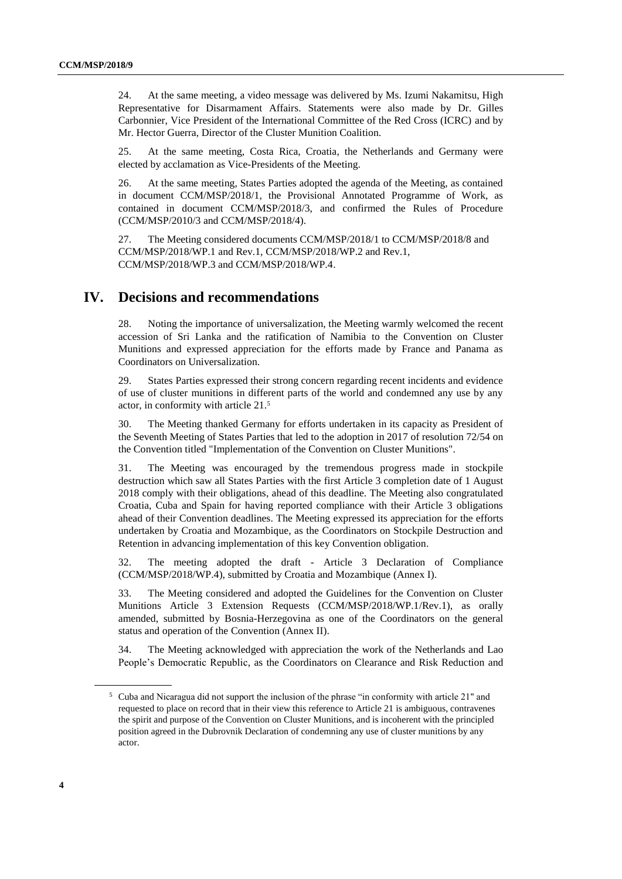24. At the same meeting, a video message was delivered by Ms. Izumi Nakamitsu, High Representative for Disarmament Affairs. Statements were also made by Dr. Gilles Carbonnier, Vice President of the International Committee of the Red Cross (ICRC) and by Mr. Hector Guerra, Director of the Cluster Munition Coalition.

25. At the same meeting, Costa Rica, Croatia, the Netherlands and Germany were elected by acclamation as Vice-Presidents of the Meeting.

26. At the same meeting, States Parties adopted the agenda of the Meeting, as contained in document CCM/MSP/2018/1, the Provisional Annotated Programme of Work, as contained in document CCM/MSP/2018/3, and confirmed the Rules of Procedure (CCM/MSP/2010/3 and CCM/MSP/2018/4).

27. The Meeting considered documents CCM/MSP/2018/1 to CCM/MSP/2018/8 and CCM/MSP/2018/WP.1 and Rev.1, CCM/MSP/2018/WP.2 and Rev.1, CCM/MSP/2018/WP.3 and CCM/MSP/2018/WP.4.

#### **IV. Decisions and recommendations**

28. Noting the importance of universalization, the Meeting warmly welcomed the recent accession of Sri Lanka and the ratification of Namibia to the Convention on Cluster Munitions and expressed appreciation for the efforts made by France and Panama as Coordinators on Universalization.

29. States Parties expressed their strong concern regarding recent incidents and evidence of use of cluster munitions in different parts of the world and condemned any use by any actor, in conformity with article 21.<sup>5</sup>

30. The Meeting thanked Germany for efforts undertaken in its capacity as President of the Seventh Meeting of States Parties that led to the adoption in 2017 of resolution 72/54 on the Convention titled "Implementation of the Convention on Cluster Munitions".

31. The Meeting was encouraged by the tremendous progress made in stockpile destruction which saw all States Parties with the first Article 3 completion date of 1 August 2018 comply with their obligations, ahead of this deadline. The Meeting also congratulated Croatia, Cuba and Spain for having reported compliance with their Article 3 obligations ahead of their Convention deadlines. The Meeting expressed its appreciation for the efforts undertaken by Croatia and Mozambique, as the Coordinators on Stockpile Destruction and Retention in advancing implementation of this key Convention obligation.

32. The meeting adopted the draft - Article 3 Declaration of Compliance (CCM/MSP/2018/WP.4), submitted by Croatia and Mozambique (Annex I).

33. The Meeting considered and adopted the Guidelines for the Convention on Cluster Munitions Article 3 Extension Requests (CCM/MSP/2018/WP.1/Rev.1), as orally amended, submitted by Bosnia-Herzegovina as one of the Coordinators on the general status and operation of the Convention (Annex II).

34. The Meeting acknowledged with appreciation the work of the Netherlands and Lao People's Democratic Republic, as the Coordinators on Clearance and Risk Reduction and

<sup>5</sup> Cuba and Nicaragua did not support the inclusion of the phrase "in conformity with article 21" and requested to place on record that in their view this reference to Article 21 is ambiguous, contravenes the spirit and purpose of the Convention on Cluster Munitions, and is incoherent with the principled position agreed in the Dubrovnik Declaration of condemning any use of cluster munitions by any actor.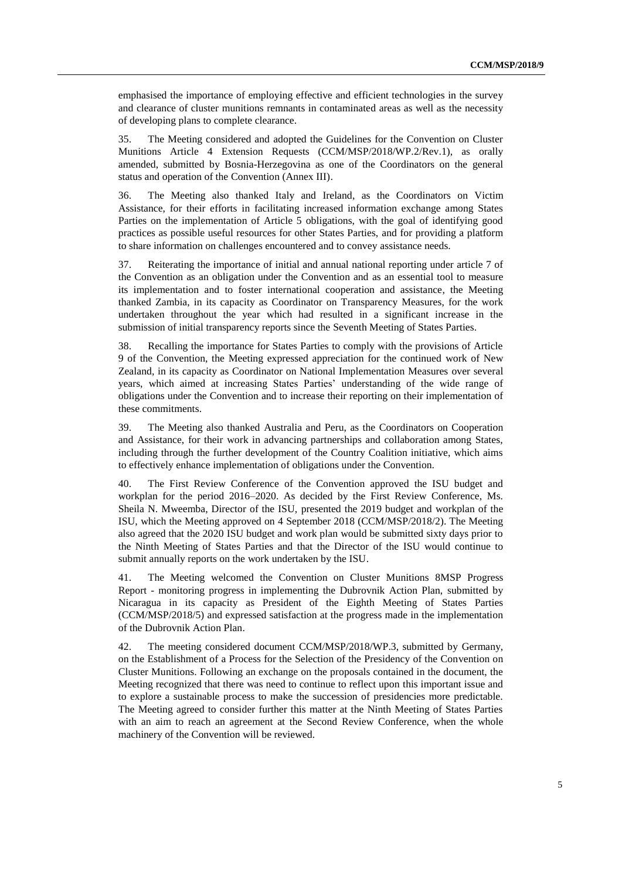emphasised the importance of employing effective and efficient technologies in the survey and clearance of cluster munitions remnants in contaminated areas as well as the necessity of developing plans to complete clearance.

35. The Meeting considered and adopted the Guidelines for the Convention on Cluster Munitions Article 4 Extension Requests (CCM/MSP/2018/WP.2/Rev.1), as orally amended, submitted by Bosnia-Herzegovina as one of the Coordinators on the general status and operation of the Convention (Annex III).

36. The Meeting also thanked Italy and Ireland, as the Coordinators on Victim Assistance, for their efforts in facilitating increased information exchange among States Parties on the implementation of Article 5 obligations, with the goal of identifying good practices as possible useful resources for other States Parties, and for providing a platform to share information on challenges encountered and to convey assistance needs.

37. Reiterating the importance of initial and annual national reporting under article 7 of the Convention as an obligation under the Convention and as an essential tool to measure its implementation and to foster international cooperation and assistance, the Meeting thanked Zambia, in its capacity as Coordinator on Transparency Measures, for the work undertaken throughout the year which had resulted in a significant increase in the submission of initial transparency reports since the Seventh Meeting of States Parties.

38. Recalling the importance for States Parties to comply with the provisions of Article 9 of the Convention, the Meeting expressed appreciation for the continued work of New Zealand, in its capacity as Coordinator on National Implementation Measures over several years, which aimed at increasing States Parties' understanding of the wide range of obligations under the Convention and to increase their reporting on their implementation of these commitments.

39. The Meeting also thanked Australia and Peru, as the Coordinators on Cooperation and Assistance, for their work in advancing partnerships and collaboration among States, including through the further development of the Country Coalition initiative, which aims to effectively enhance implementation of obligations under the Convention.

40. The First Review Conference of the Convention approved the ISU budget and workplan for the period 2016–2020. As decided by the First Review Conference, Ms. Sheila N. Mweemba, Director of the ISU, presented the 2019 budget and workplan of the ISU, which the Meeting approved on 4 September 2018 (CCM/MSP/2018/2). The Meeting also agreed that the 2020 ISU budget and work plan would be submitted sixty days prior to the Ninth Meeting of States Parties and that the Director of the ISU would continue to submit annually reports on the work undertaken by the ISU.

41. The Meeting welcomed the Convention on Cluster Munitions 8MSP Progress Report - monitoring progress in implementing the Dubrovnik Action Plan, submitted by Nicaragua in its capacity as President of the Eighth Meeting of States Parties (CCM/MSP/2018/5) and expressed satisfaction at the progress made in the implementation of the Dubrovnik Action Plan.

42. The meeting considered document CCM/MSP/2018/WP.3, submitted by Germany, on the Establishment of a Process for the Selection of the Presidency of the Convention on Cluster Munitions. Following an exchange on the proposals contained in the document, the Meeting recognized that there was need to continue to reflect upon this important issue and to explore a sustainable process to make the succession of presidencies more predictable. The Meeting agreed to consider further this matter at the Ninth Meeting of States Parties with an aim to reach an agreement at the Second Review Conference, when the whole machinery of the Convention will be reviewed.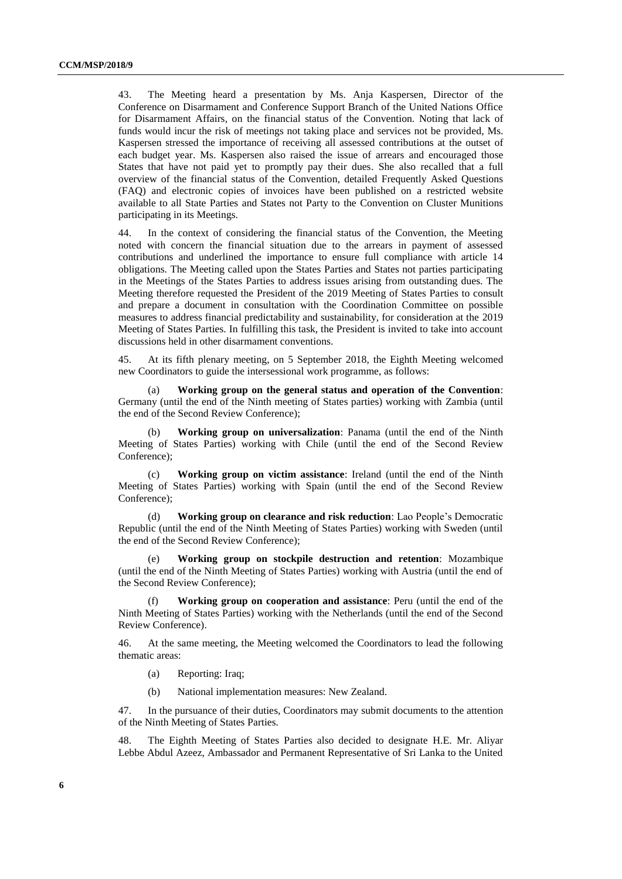43. The Meeting heard a presentation by Ms. Anja Kaspersen, Director of the Conference on Disarmament and Conference Support Branch of the United Nations Office for Disarmament Affairs, on the financial status of the Convention. Noting that lack of funds would incur the risk of meetings not taking place and services not be provided, Ms. Kaspersen stressed the importance of receiving all assessed contributions at the outset of each budget year. Ms. Kaspersen also raised the issue of arrears and encouraged those States that have not paid yet to promptly pay their dues. She also recalled that a full overview of the financial status of the Convention, detailed Frequently Asked Questions (FAQ) and electronic copies of invoices have been published on a restricted website available to all State Parties and States not Party to the Convention on Cluster Munitions participating in its Meetings.

44. In the context of considering the financial status of the Convention, the Meeting noted with concern the financial situation due to the arrears in payment of assessed contributions and underlined the importance to ensure full compliance with article 14 obligations. The Meeting called upon the States Parties and States not parties participating in the Meetings of the States Parties to address issues arising from outstanding dues. The Meeting therefore requested the President of the 2019 Meeting of States Parties to consult and prepare a document in consultation with the Coordination Committee on possible measures to address financial predictability and sustainability, for consideration at the 2019 Meeting of States Parties. In fulfilling this task, the President is invited to take into account discussions held in other disarmament conventions.

45. At its fifth plenary meeting, on 5 September 2018, the Eighth Meeting welcomed new Coordinators to guide the intersessional work programme, as follows:

(a) **Working group on the general status and operation of the Convention**: Germany (until the end of the Ninth meeting of States parties) working with Zambia (until the end of the Second Review Conference);

(b) **Working group on universalization**: Panama (until the end of the Ninth Meeting of States Parties) working with Chile (until the end of the Second Review Conference);

(c) **Working group on victim assistance**: Ireland (until the end of the Ninth Meeting of States Parties) working with Spain (until the end of the Second Review Conference);

(d) **Working group on clearance and risk reduction**: Lao People's Democratic Republic (until the end of the Ninth Meeting of States Parties) working with Sweden (until the end of the Second Review Conference);

(e) **Working group on stockpile destruction and retention**: Mozambique (until the end of the Ninth Meeting of States Parties) working with Austria (until the end of the Second Review Conference);

**Working group on cooperation and assistance**: Peru (until the end of the Ninth Meeting of States Parties) working with the Netherlands (until the end of the Second Review Conference).

46. At the same meeting, the Meeting welcomed the Coordinators to lead the following thematic areas:

- (a) Reporting: Iraq;
- (b) National implementation measures: New Zealand.

47. In the pursuance of their duties, Coordinators may submit documents to the attention of the Ninth Meeting of States Parties.

48. The Eighth Meeting of States Parties also decided to designate H.E. Mr. Aliyar Lebbe Abdul Azeez, Ambassador and Permanent Representative of Sri Lanka to the United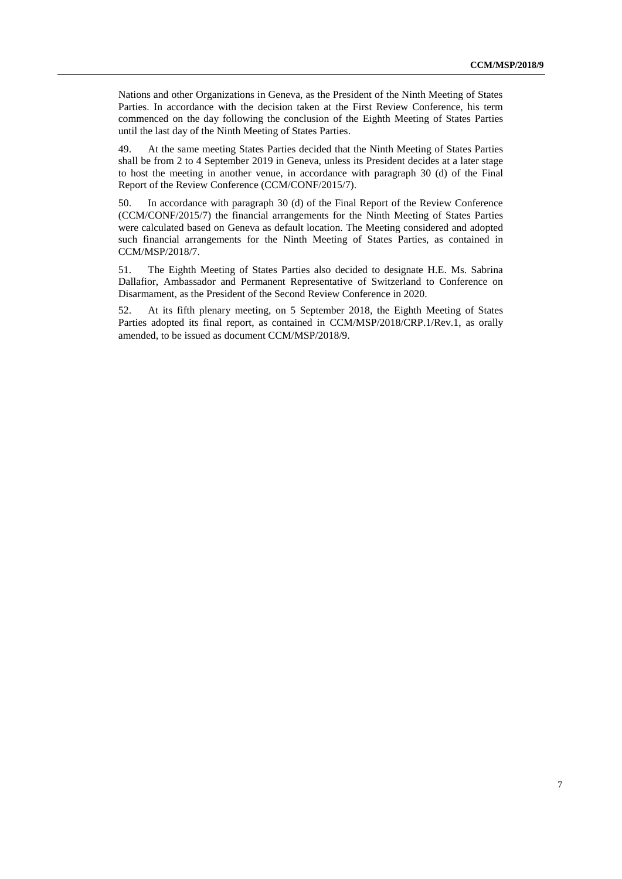Nations and other Organizations in Geneva, as the President of the Ninth Meeting of States Parties. In accordance with the decision taken at the First Review Conference, his term commenced on the day following the conclusion of the Eighth Meeting of States Parties until the last day of the Ninth Meeting of States Parties.

49. At the same meeting States Parties decided that the Ninth Meeting of States Parties shall be from 2 to 4 September 2019 in Geneva, unless its President decides at a later stage to host the meeting in another venue, in accordance with paragraph 30 (d) of the Final Report of the Review Conference (CCM/CONF/2015/7).

50. In accordance with paragraph 30 (d) of the Final Report of the Review Conference (CCM/CONF/2015/7) the financial arrangements for the Ninth Meeting of States Parties were calculated based on Geneva as default location. The Meeting considered and adopted such financial arrangements for the Ninth Meeting of States Parties, as contained in CCM/MSP/2018/7.

51. The Eighth Meeting of States Parties also decided to designate H.E. Ms. Sabrina Dallafior, Ambassador and Permanent Representative of Switzerland to Conference on Disarmament, as the President of the Second Review Conference in 2020.

52. At its fifth plenary meeting, on 5 September 2018, the Eighth Meeting of States Parties adopted its final report, as contained in CCM/MSP/2018/CRP.1/Rev.1, as orally amended, to be issued as document CCM/MSP/2018/9.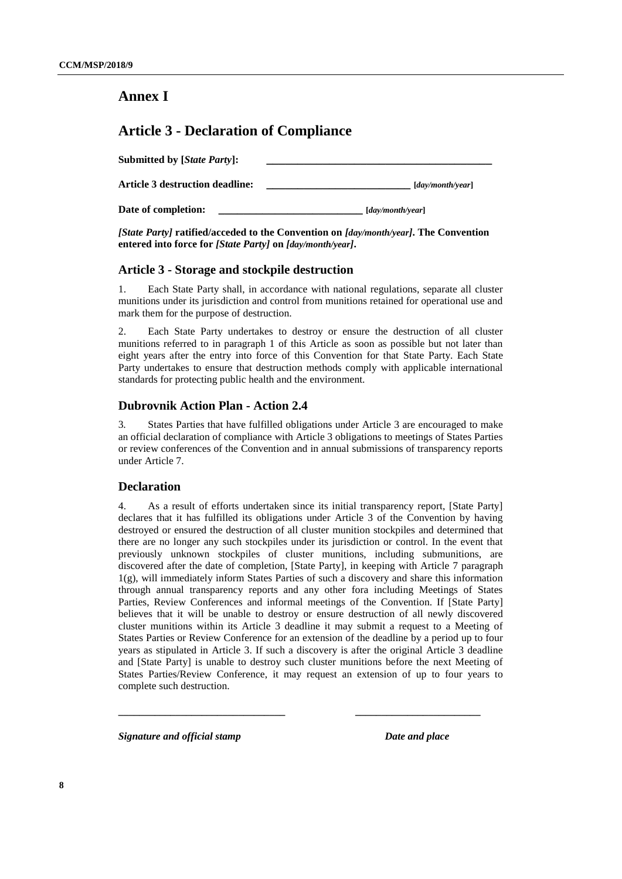### **Annex I**

### **Article 3 - Declaration of Compliance**

| <b>Submitted by [State Party]:</b>     |                                         |
|----------------------------------------|-----------------------------------------|
| <b>Article 3 destruction deadline:</b> | $\lceil \frac{day}{month}{year} \rceil$ |
| Date of completion:                    | $\lceil \frac{day}{month}{year} \rceil$ |

#### *[State Party]* **ratified/acceded to the Convention on** *[day/month/year]***. The Convention entered into force for** *[State Party]* **on** *[day/month/year]***.**

#### **Article 3 - Storage and stockpile destruction**

1. Each State Party shall, in accordance with national regulations, separate all cluster munitions under its jurisdiction and control from munitions retained for operational use and mark them for the purpose of destruction.

2. Each State Party undertakes to destroy or ensure the destruction of all cluster munitions referred to in paragraph 1 of this Article as soon as possible but not later than eight years after the entry into force of this Convention for that State Party. Each State Party undertakes to ensure that destruction methods comply with applicable international standards for protecting public health and the environment.

#### **Dubrovnik Action Plan - Action 2.4**

3. States Parties that have fulfilled obligations under Article 3 are encouraged to make an official declaration of compliance with Article 3 obligations to meetings of States Parties or review conferences of the Convention and in annual submissions of transparency reports under Article 7.

#### **Declaration**

4. As a result of efforts undertaken since its initial transparency report, [State Party] declares that it has fulfilled its obligations under Article 3 of the Convention by having destroyed or ensured the destruction of all cluster munition stockpiles and determined that there are no longer any such stockpiles under its jurisdiction or control. In the event that previously unknown stockpiles of cluster munitions, including submunitions, are discovered after the date of completion, [State Party], in keeping with Article 7 paragraph 1(g), will immediately inform States Parties of such a discovery and share this information through annual transparency reports and any other fora including Meetings of States Parties, Review Conferences and informal meetings of the Convention. If [State Party] believes that it will be unable to destroy or ensure destruction of all newly discovered cluster munitions within its Article 3 deadline it may submit a request to a Meeting of States Parties or Review Conference for an extension of the deadline by a period up to four years as stipulated in Article 3. If such a discovery is after the original Article 3 deadline and [State Party] is unable to destroy such cluster munitions before the next Meeting of States Parties/Review Conference, it may request an extension of up to four years to complete such destruction.

**\_\_\_\_\_\_\_\_\_\_\_\_\_\_\_\_\_\_\_\_\_\_\_\_\_\_\_\_\_\_\_\_ \_\_\_\_\_\_\_\_\_\_\_\_\_\_\_\_\_\_\_\_\_\_\_\_**

*Signature and official stamp Date and place*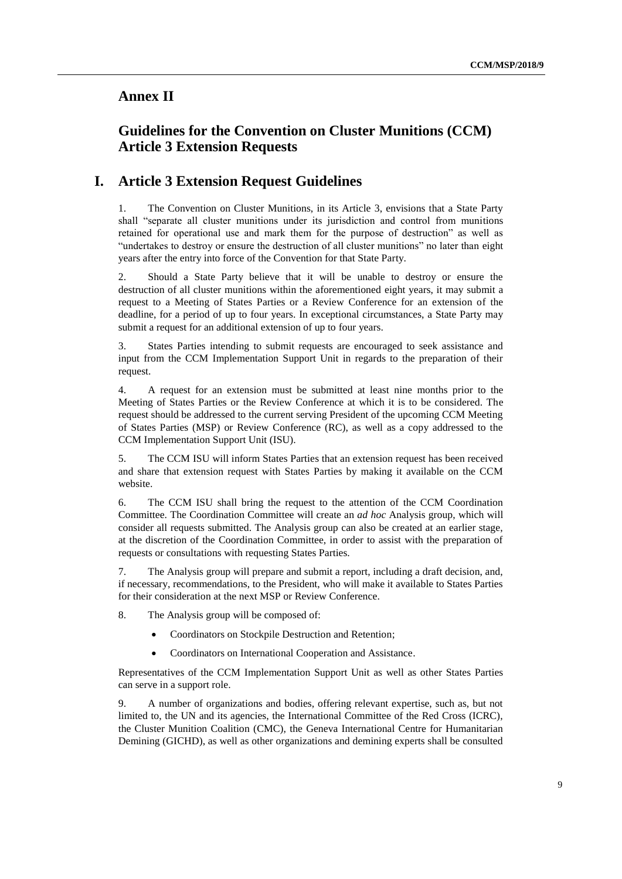### **Annex II**

### **Guidelines for the Convention on Cluster Munitions (CCM) Article 3 Extension Requests**

### **I. Article 3 Extension Request Guidelines**

1. The Convention on Cluster Munitions, in its Article 3, envisions that a State Party shall "separate all cluster munitions under its jurisdiction and control from munitions retained for operational use and mark them for the purpose of destruction" as well as "undertakes to destroy or ensure the destruction of all cluster munitions" no later than eight years after the entry into force of the Convention for that State Party.

2. Should a State Party believe that it will be unable to destroy or ensure the destruction of all cluster munitions within the aforementioned eight years, it may submit a request to a Meeting of States Parties or a Review Conference for an extension of the deadline, for a period of up to four years. In exceptional circumstances, a State Party may submit a request for an additional extension of up to four years.

3. States Parties intending to submit requests are encouraged to seek assistance and input from the CCM Implementation Support Unit in regards to the preparation of their request.

4. A request for an extension must be submitted at least nine months prior to the Meeting of States Parties or the Review Conference at which it is to be considered. The request should be addressed to the current serving President of the upcoming CCM Meeting of States Parties (MSP) or Review Conference (RC), as well as a copy addressed to the CCM Implementation Support Unit (ISU).

5. The CCM ISU will inform States Parties that an extension request has been received and share that extension request with States Parties by making it available on the CCM website.

6. The CCM ISU shall bring the request to the attention of the CCM Coordination Committee. The Coordination Committee will create an *ad hoc* Analysis group, which will consider all requests submitted. The Analysis group can also be created at an earlier stage, at the discretion of the Coordination Committee, in order to assist with the preparation of requests or consultations with requesting States Parties.

7. The Analysis group will prepare and submit a report, including a draft decision, and, if necessary, recommendations, to the President, who will make it available to States Parties for their consideration at the next MSP or Review Conference.

8. The Analysis group will be composed of:

- Coordinators on Stockpile Destruction and Retention;
- Coordinators on International Cooperation and Assistance.

Representatives of the CCM Implementation Support Unit as well as other States Parties can serve in a support role.

9. A number of organizations and bodies, offering relevant expertise, such as, but not limited to, the UN and its agencies, the International Committee of the Red Cross (ICRC), the Cluster Munition Coalition (CMC), the Geneva International Centre for Humanitarian Demining (GICHD), as well as other organizations and demining experts shall be consulted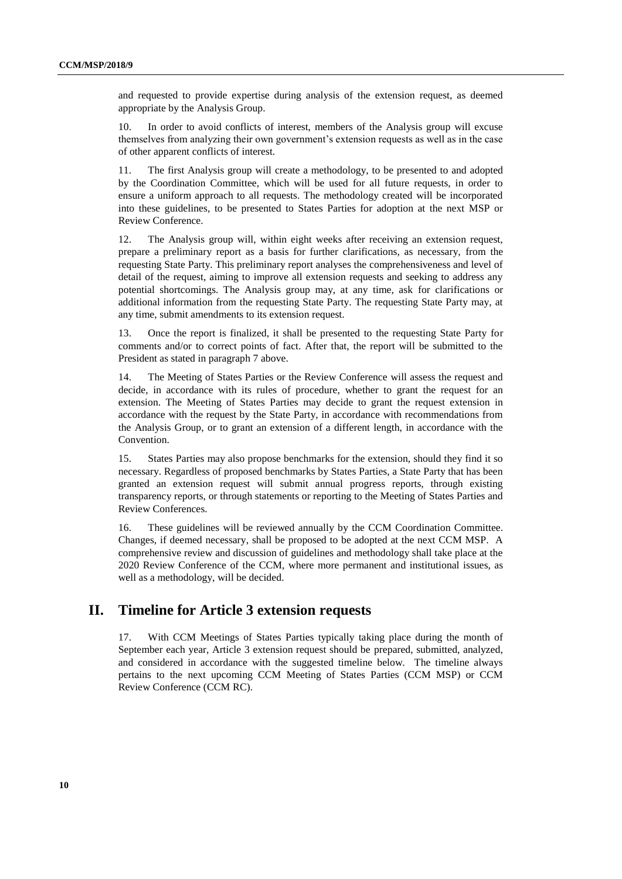and requested to provide expertise during analysis of the extension request, as deemed appropriate by the Analysis Group.

10. In order to avoid conflicts of interest, members of the Analysis group will excuse themselves from analyzing their own government's extension requests as well as in the case of other apparent conflicts of interest.

11. The first Analysis group will create a methodology, to be presented to and adopted by the Coordination Committee, which will be used for all future requests, in order to ensure a uniform approach to all requests. The methodology created will be incorporated into these guidelines, to be presented to States Parties for adoption at the next MSP or Review Conference.

12. The Analysis group will, within eight weeks after receiving an extension request, prepare a preliminary report as a basis for further clarifications, as necessary, from the requesting State Party. This preliminary report analyses the comprehensiveness and level of detail of the request, aiming to improve all extension requests and seeking to address any potential shortcomings. The Analysis group may, at any time, ask for clarifications or additional information from the requesting State Party. The requesting State Party may, at any time, submit amendments to its extension request.

13. Once the report is finalized, it shall be presented to the requesting State Party for comments and/or to correct points of fact. After that, the report will be submitted to the President as stated in paragraph 7 above.

14. The Meeting of States Parties or the Review Conference will assess the request and decide, in accordance with its rules of procedure, whether to grant the request for an extension. The Meeting of States Parties may decide to grant the request extension in accordance with the request by the State Party, in accordance with recommendations from the Analysis Group, or to grant an extension of a different length, in accordance with the Convention.

15. States Parties may also propose benchmarks for the extension, should they find it so necessary. Regardless of proposed benchmarks by States Parties, a State Party that has been granted an extension request will submit annual progress reports, through existing transparency reports, or through statements or reporting to the Meeting of States Parties and Review Conferences.

16. These guidelines will be reviewed annually by the CCM Coordination Committee. Changes, if deemed necessary, shall be proposed to be adopted at the next CCM MSP. A comprehensive review and discussion of guidelines and methodology shall take place at the 2020 Review Conference of the CCM, where more permanent and institutional issues, as well as a methodology, will be decided.

### **II. Timeline for Article 3 extension requests**

17. With CCM Meetings of States Parties typically taking place during the month of September each year, Article 3 extension request should be prepared, submitted, analyzed, and considered in accordance with the suggested timeline below. The timeline always pertains to the next upcoming CCM Meeting of States Parties (CCM MSP) or CCM Review Conference (CCM RC).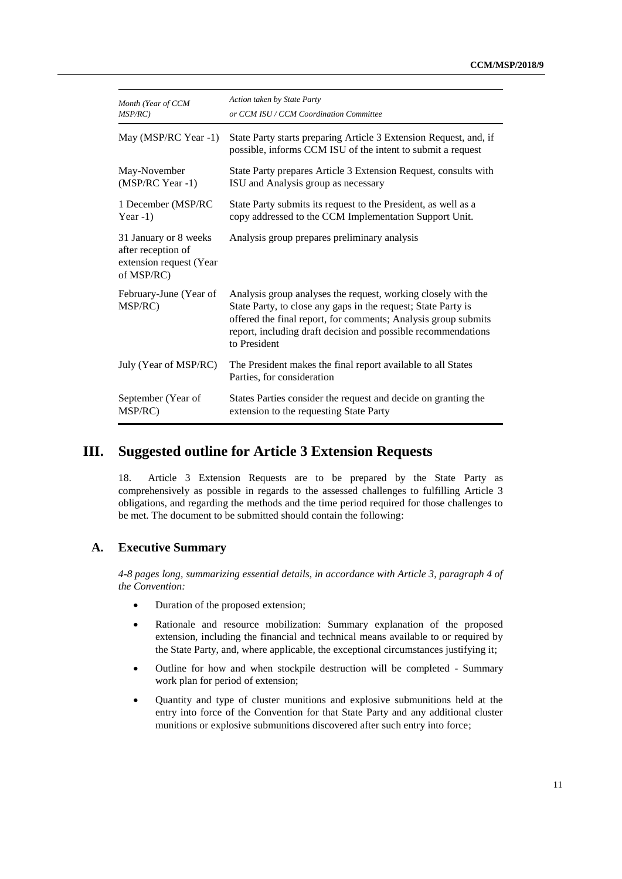| Month (Year of CCM                                                                   | Action taken by State Party                                                                                                                                                                                                                                                       |
|--------------------------------------------------------------------------------------|-----------------------------------------------------------------------------------------------------------------------------------------------------------------------------------------------------------------------------------------------------------------------------------|
| $MSP/RC$ )                                                                           | or CCM ISU / CCM Coordination Committee                                                                                                                                                                                                                                           |
| May (MSP/RC Year -1)                                                                 | State Party starts preparing Article 3 Extension Request, and, if<br>possible, informs CCM ISU of the intent to submit a request                                                                                                                                                  |
| May-November                                                                         | State Party prepares Article 3 Extension Request, consults with                                                                                                                                                                                                                   |
| (MSP/RC Year -1)                                                                     | ISU and Analysis group as necessary                                                                                                                                                                                                                                               |
| 1 December (MSP/RC                                                                   | State Party submits its request to the President, as well as a                                                                                                                                                                                                                    |
| Year $-1$ )                                                                          | copy addressed to the CCM Implementation Support Unit.                                                                                                                                                                                                                            |
| 31 January or 8 weeks<br>after reception of<br>extension request (Year<br>of MSP/RC) | Analysis group prepares preliminary analysis                                                                                                                                                                                                                                      |
| February-June (Year of<br>MSP/RC)                                                    | Analysis group analyses the request, working closely with the<br>State Party, to close any gaps in the request; State Party is<br>offered the final report, for comments; Analysis group submits<br>report, including draft decision and possible recommendations<br>to President |
| July (Year of MSP/RC)                                                                | The President makes the final report available to all States<br>Parties, for consideration                                                                                                                                                                                        |
| September (Year of                                                                   | States Parties consider the request and decide on granting the                                                                                                                                                                                                                    |
| MSP/RC)                                                                              | extension to the requesting State Party                                                                                                                                                                                                                                           |

### **III. Suggested outline for Article 3 Extension Requests**

18. Article 3 Extension Requests are to be prepared by the State Party as comprehensively as possible in regards to the assessed challenges to fulfilling Article 3 obligations, and regarding the methods and the time period required for those challenges to be met. The document to be submitted should contain the following:

#### **A. Executive Summary**

*4-8 pages long, summarizing essential details, in accordance with Article 3, paragraph 4 of the Convention:*

- Duration of the proposed extension;
- Rationale and resource mobilization: Summary explanation of the proposed extension, including the financial and technical means available to or required by the State Party, and, where applicable, the exceptional circumstances justifying it;
- Outline for how and when stockpile destruction will be completed Summary work plan for period of extension;
- Quantity and type of cluster munitions and explosive submunitions held at the entry into force of the Convention for that State Party and any additional cluster munitions or explosive submunitions discovered after such entry into force;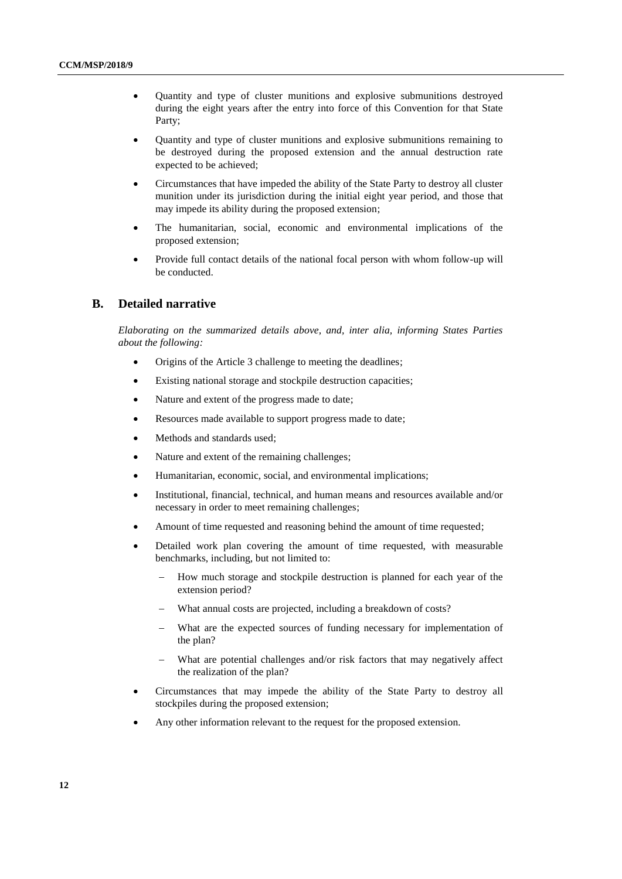- Quantity and type of cluster munitions and explosive submunitions destroyed during the eight years after the entry into force of this Convention for that State Party;
- Quantity and type of cluster munitions and explosive submunitions remaining to be destroyed during the proposed extension and the annual destruction rate expected to be achieved;
- Circumstances that have impeded the ability of the State Party to destroy all cluster munition under its jurisdiction during the initial eight year period, and those that may impede its ability during the proposed extension;
- The humanitarian, social, economic and environmental implications of the proposed extension;
- Provide full contact details of the national focal person with whom follow-up will be conducted.

#### **B. Detailed narrative**

*Elaborating on the summarized details above, and, inter alia, informing States Parties about the following:*

- Origins of the Article 3 challenge to meeting the deadlines;
- Existing national storage and stockpile destruction capacities;
- Nature and extent of the progress made to date;
- Resources made available to support progress made to date;
- Methods and standards used;
- Nature and extent of the remaining challenges;
- Humanitarian, economic, social, and environmental implications;
- Institutional, financial, technical, and human means and resources available and/or necessary in order to meet remaining challenges;
- Amount of time requested and reasoning behind the amount of time requested;
- Detailed work plan covering the amount of time requested, with measurable benchmarks, including, but not limited to:
	- How much storage and stockpile destruction is planned for each year of the extension period?
	- What annual costs are projected, including a breakdown of costs?
	- What are the expected sources of funding necessary for implementation of the plan?
	- What are potential challenges and/or risk factors that may negatively affect the realization of the plan?
- Circumstances that may impede the ability of the State Party to destroy all stockpiles during the proposed extension;
- Any other information relevant to the request for the proposed extension.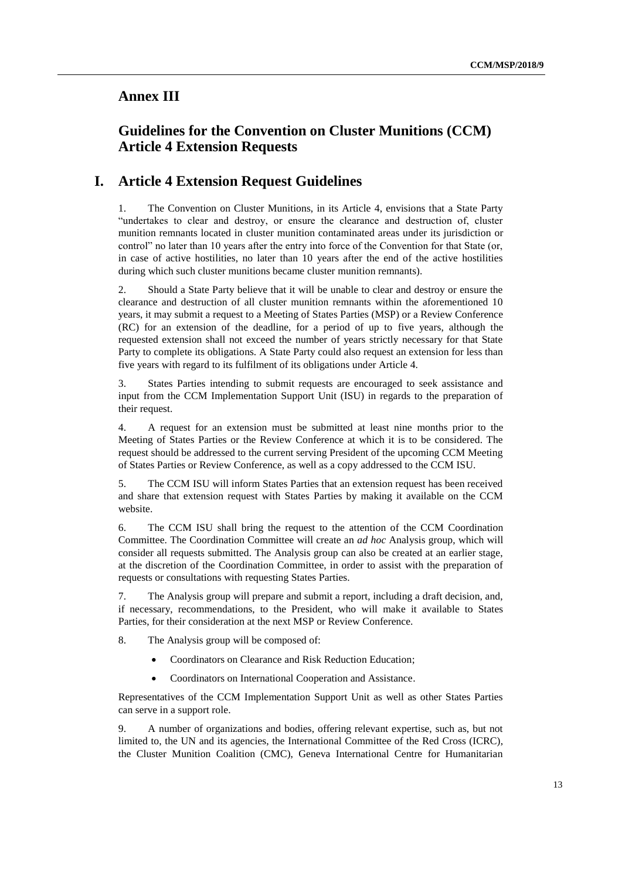### **Annex III**

### **Guidelines for the Convention on Cluster Munitions (CCM) Article 4 Extension Requests**

### **I. Article 4 Extension Request Guidelines**

1. The Convention on Cluster Munitions, in its Article 4, envisions that a State Party "undertakes to clear and destroy, or ensure the clearance and destruction of, cluster munition remnants located in cluster munition contaminated areas under its jurisdiction or control" no later than 10 years after the entry into force of the Convention for that State (or, in case of active hostilities, no later than 10 years after the end of the active hostilities during which such cluster munitions became cluster munition remnants).

2. Should a State Party believe that it will be unable to clear and destroy or ensure the clearance and destruction of all cluster munition remnants within the aforementioned 10 years, it may submit a request to a Meeting of States Parties (MSP) or a Review Conference (RC) for an extension of the deadline, for a period of up to five years, although the requested extension shall not exceed the number of years strictly necessary for that State Party to complete its obligations. A State Party could also request an extension for less than five years with regard to its fulfilment of its obligations under Article 4.

3. States Parties intending to submit requests are encouraged to seek assistance and input from the CCM Implementation Support Unit (ISU) in regards to the preparation of their request.

4. A request for an extension must be submitted at least nine months prior to the Meeting of States Parties or the Review Conference at which it is to be considered. The request should be addressed to the current serving President of the upcoming CCM Meeting of States Parties or Review Conference, as well as a copy addressed to the CCM ISU.

5. The CCM ISU will inform States Parties that an extension request has been received and share that extension request with States Parties by making it available on the CCM website.

6. The CCM ISU shall bring the request to the attention of the CCM Coordination Committee. The Coordination Committee will create an *ad hoc* Analysis group, which will consider all requests submitted. The Analysis group can also be created at an earlier stage, at the discretion of the Coordination Committee, in order to assist with the preparation of requests or consultations with requesting States Parties.

7. The Analysis group will prepare and submit a report, including a draft decision, and, if necessary, recommendations, to the President, who will make it available to States Parties, for their consideration at the next MSP or Review Conference.

8. The Analysis group will be composed of:

- Coordinators on Clearance and Risk Reduction Education;
- Coordinators on International Cooperation and Assistance.

Representatives of the CCM Implementation Support Unit as well as other States Parties can serve in a support role.

9. A number of organizations and bodies, offering relevant expertise, such as, but not limited to, the UN and its agencies, the International Committee of the Red Cross (ICRC), the Cluster Munition Coalition (CMC), Geneva International Centre for Humanitarian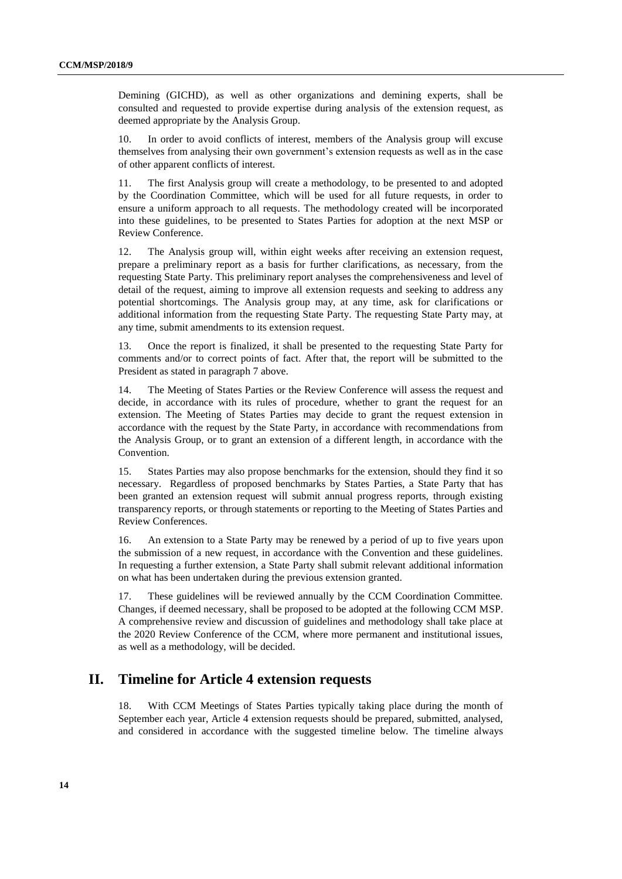Demining (GICHD), as well as other organizations and demining experts, shall be consulted and requested to provide expertise during analysis of the extension request, as deemed appropriate by the Analysis Group.

10. In order to avoid conflicts of interest, members of the Analysis group will excuse themselves from analysing their own government's extension requests as well as in the case of other apparent conflicts of interest.

11. The first Analysis group will create a methodology, to be presented to and adopted by the Coordination Committee, which will be used for all future requests, in order to ensure a uniform approach to all requests. The methodology created will be incorporated into these guidelines, to be presented to States Parties for adoption at the next MSP or Review Conference.

12. The Analysis group will, within eight weeks after receiving an extension request, prepare a preliminary report as a basis for further clarifications, as necessary, from the requesting State Party. This preliminary report analyses the comprehensiveness and level of detail of the request, aiming to improve all extension requests and seeking to address any potential shortcomings. The Analysis group may, at any time, ask for clarifications or additional information from the requesting State Party. The requesting State Party may, at any time, submit amendments to its extension request.

13. Once the report is finalized, it shall be presented to the requesting State Party for comments and/or to correct points of fact. After that, the report will be submitted to the President as stated in paragraph 7 above.

14. The Meeting of States Parties or the Review Conference will assess the request and decide, in accordance with its rules of procedure, whether to grant the request for an extension. The Meeting of States Parties may decide to grant the request extension in accordance with the request by the State Party, in accordance with recommendations from the Analysis Group, or to grant an extension of a different length, in accordance with the Convention.

15. States Parties may also propose benchmarks for the extension, should they find it so necessary. Regardless of proposed benchmarks by States Parties, a State Party that has been granted an extension request will submit annual progress reports, through existing transparency reports, or through statements or reporting to the Meeting of States Parties and Review Conferences.

16. An extension to a State Party may be renewed by a period of up to five years upon the submission of a new request, in accordance with the Convention and these guidelines. In requesting a further extension, a State Party shall submit relevant additional information on what has been undertaken during the previous extension granted.

17. These guidelines will be reviewed annually by the CCM Coordination Committee. Changes, if deemed necessary, shall be proposed to be adopted at the following CCM MSP. A comprehensive review and discussion of guidelines and methodology shall take place at the 2020 Review Conference of the CCM, where more permanent and institutional issues, as well as a methodology, will be decided.

### **II. Timeline for Article 4 extension requests**

18. With CCM Meetings of States Parties typically taking place during the month of September each year, Article 4 extension requests should be prepared, submitted, analysed, and considered in accordance with the suggested timeline below. The timeline always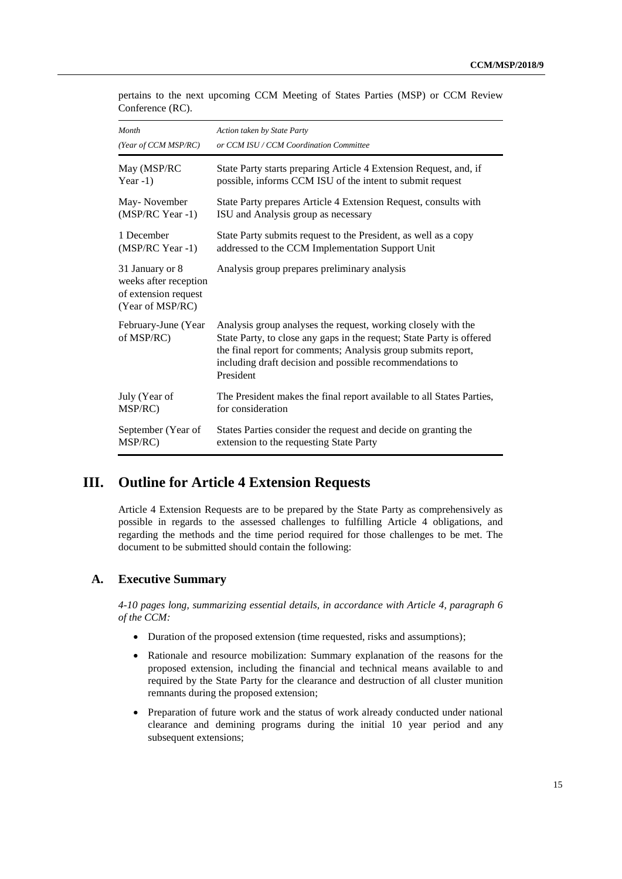|                  |  | pertains to the next upcoming CCM Meeting of States Parties (MSP) or CCM Review |  |  |  |  |  |
|------------------|--|---------------------------------------------------------------------------------|--|--|--|--|--|
| Conference (RC). |  |                                                                                 |  |  |  |  |  |

| Month                                                                                | Action taken by State Party                                                                                                                                                                                                                                                      |
|--------------------------------------------------------------------------------------|----------------------------------------------------------------------------------------------------------------------------------------------------------------------------------------------------------------------------------------------------------------------------------|
| (Year of CCM MSP/RC)                                                                 | or CCM ISU / CCM Coordination Committee                                                                                                                                                                                                                                          |
| May (MSP/RC                                                                          | State Party starts preparing Article 4 Extension Request, and, if                                                                                                                                                                                                                |
| Year $-1$ )                                                                          | possible, informs CCM ISU of the intent to submit request                                                                                                                                                                                                                        |
| May-November                                                                         | State Party prepares Article 4 Extension Request, consults with                                                                                                                                                                                                                  |
| (MSP/RC Year -1)                                                                     | ISU and Analysis group as necessary                                                                                                                                                                                                                                              |
| 1 December                                                                           | State Party submits request to the President, as well as a copy                                                                                                                                                                                                                  |
| (MSP/RC Year -1)                                                                     | addressed to the CCM Implementation Support Unit                                                                                                                                                                                                                                 |
| 31 January or 8<br>weeks after reception<br>of extension request<br>(Year of MSP/RC) | Analysis group prepares preliminary analysis                                                                                                                                                                                                                                     |
| February-June (Year<br>of MSP/RC)                                                    | Analysis group analyses the request, working closely with the<br>State Party, to close any gaps in the request; State Party is offered<br>the final report for comments; Analysis group submits report,<br>including draft decision and possible recommendations to<br>President |
| July (Year of                                                                        | The President makes the final report available to all States Parties,                                                                                                                                                                                                            |
| MSP/RC)                                                                              | for consideration                                                                                                                                                                                                                                                                |
| September (Year of                                                                   | States Parties consider the request and decide on granting the                                                                                                                                                                                                                   |
| MSP/RC)                                                                              | extension to the requesting State Party                                                                                                                                                                                                                                          |

### **III. Outline for Article 4 Extension Requests**

Article 4 Extension Requests are to be prepared by the State Party as comprehensively as possible in regards to the assessed challenges to fulfilling Article 4 obligations, and regarding the methods and the time period required for those challenges to be met. The document to be submitted should contain the following:

#### **A. Executive Summary**

*4-10 pages long, summarizing essential details, in accordance with Article 4, paragraph 6 of the CCM:*

- Duration of the proposed extension (time requested, risks and assumptions);
- Rationale and resource mobilization: Summary explanation of the reasons for the proposed extension, including the financial and technical means available to and required by the State Party for the clearance and destruction of all cluster munition remnants during the proposed extension;
- Preparation of future work and the status of work already conducted under national clearance and demining programs during the initial 10 year period and any subsequent extensions;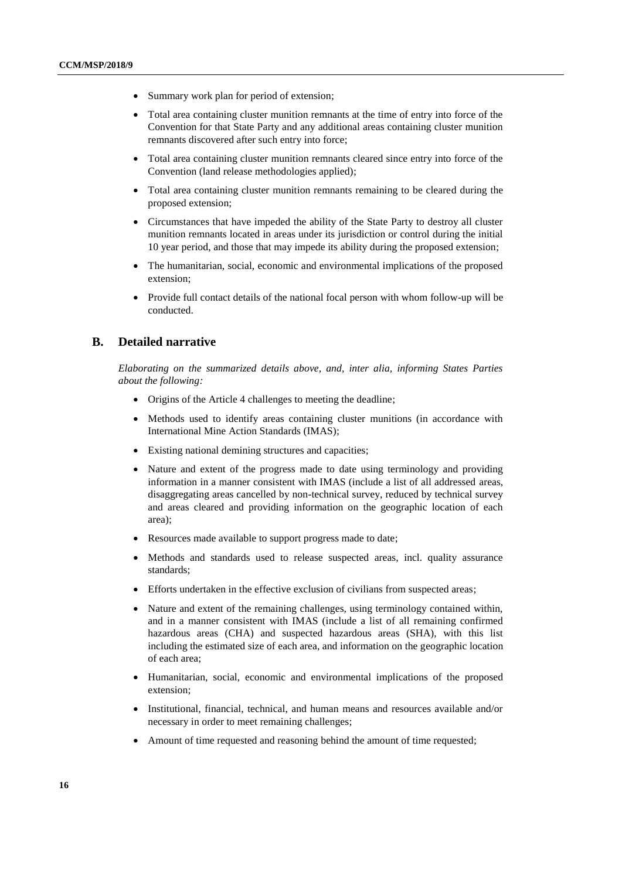- Summary work plan for period of extension;
- Total area containing cluster munition remnants at the time of entry into force of the Convention for that State Party and any additional areas containing cluster munition remnants discovered after such entry into force;
- Total area containing cluster munition remnants cleared since entry into force of the Convention (land release methodologies applied);
- Total area containing cluster munition remnants remaining to be cleared during the proposed extension;
- Circumstances that have impeded the ability of the State Party to destroy all cluster munition remnants located in areas under its jurisdiction or control during the initial 10 year period, and those that may impede its ability during the proposed extension;
- The humanitarian, social, economic and environmental implications of the proposed extension;
- Provide full contact details of the national focal person with whom follow-up will be conducted.

#### **B. Detailed narrative**

*Elaborating on the summarized details above, and, inter alia, informing States Parties about the following:*

- Origins of the Article 4 challenges to meeting the deadline;
- Methods used to identify areas containing cluster munitions (in accordance with International Mine Action Standards (IMAS);
- Existing national demining structures and capacities;
- Nature and extent of the progress made to date using terminology and providing information in a manner consistent with IMAS (include a list of all addressed areas, disaggregating areas cancelled by non-technical survey, reduced by technical survey and areas cleared and providing information on the geographic location of each area);
- Resources made available to support progress made to date;
- Methods and standards used to release suspected areas, incl. quality assurance standards;
- Efforts undertaken in the effective exclusion of civilians from suspected areas;
- Nature and extent of the remaining challenges, using terminology contained within, and in a manner consistent with IMAS (include a list of all remaining confirmed hazardous areas (CHA) and suspected hazardous areas (SHA), with this list including the estimated size of each area, and information on the geographic location of each area;
- Humanitarian, social, economic and environmental implications of the proposed extension;
- Institutional, financial, technical, and human means and resources available and/or necessary in order to meet remaining challenges;
- Amount of time requested and reasoning behind the amount of time requested;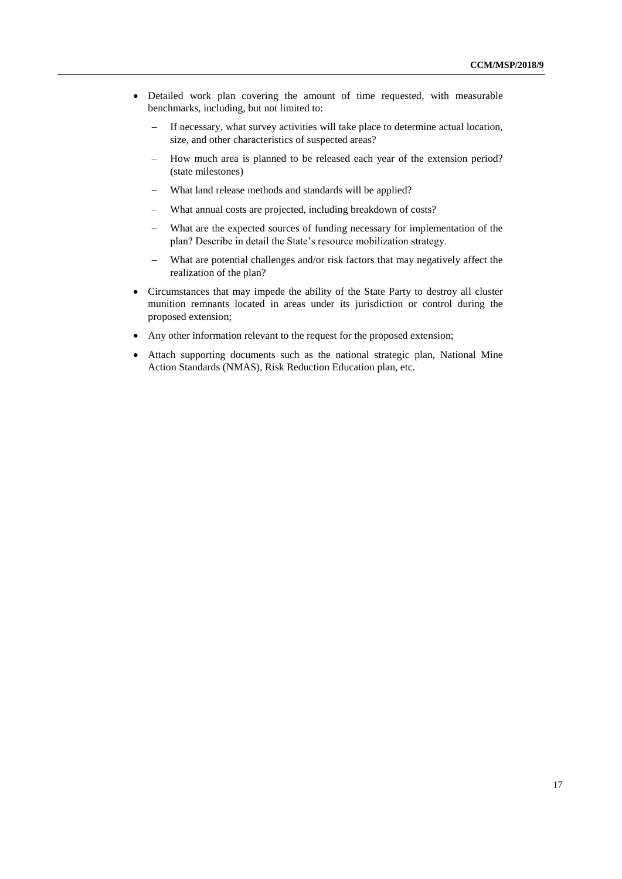- Detailed work plan covering the amount of time requested, with measurable benchmarks, including, but not limited to:
	- If necessary, what survey activities will take place to determine actual location, size, and other characteristics of suspected areas?
	- How much area is planned to be released each year of the extension period? (state milestones)
	- What land release methods and standards will be applied?
	- What annual costs are projected, including breakdown of costs?
	- What are the expected sources of funding necessary for implementation of the plan? Describe in detail the State's resource mobilization strategy.
	- What are potential challenges and/or risk factors that may negatively affect the realization of the plan?
- Circumstances that may impede the ability of the State Party to destroy all cluster munition remnants located in areas under its jurisdiction or control during the proposed extension;
- Any other information relevant to the request for the proposed extension;
- Attach supporting documents such as the national strategic plan, National Mine Action Standards (NMAS), Risk Reduction Education plan, etc.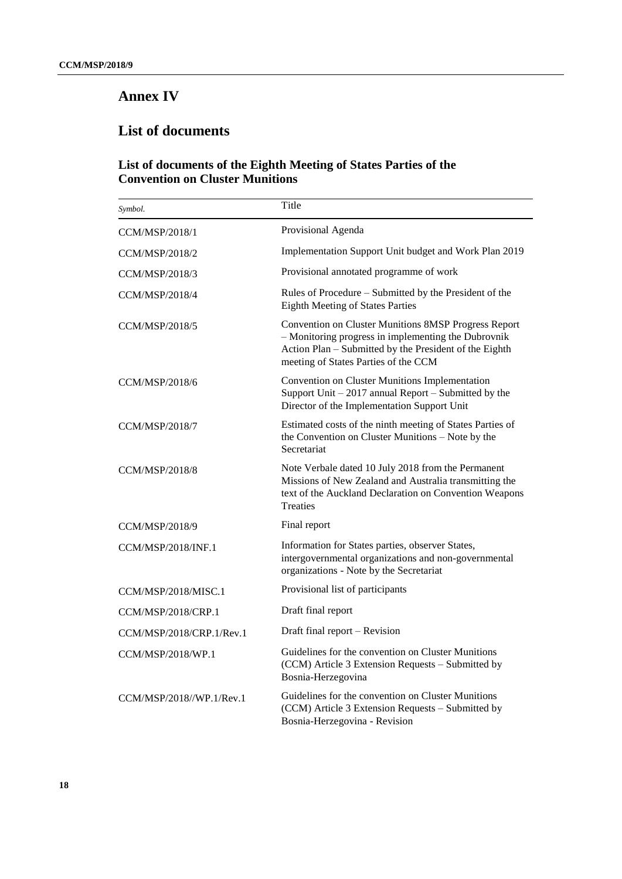## **Annex IV**

## **List of documents**

#### **List of documents of the Eighth Meeting of States Parties of the Convention on Cluster Munitions**

| Symbol.                  | Title                                                                                                                                                                                                         |
|--------------------------|---------------------------------------------------------------------------------------------------------------------------------------------------------------------------------------------------------------|
| CCM/MSP/2018/1           | Provisional Agenda                                                                                                                                                                                            |
| CCM/MSP/2018/2           | Implementation Support Unit budget and Work Plan 2019                                                                                                                                                         |
| CCM/MSP/2018/3           | Provisional annotated programme of work                                                                                                                                                                       |
| <b>CCM/MSP/2018/4</b>    | Rules of Procedure – Submitted by the President of the<br><b>Eighth Meeting of States Parties</b>                                                                                                             |
| CCM/MSP/2018/5           | Convention on Cluster Munitions 8MSP Progress Report<br>- Monitoring progress in implementing the Dubrovnik<br>Action Plan - Submitted by the President of the Eighth<br>meeting of States Parties of the CCM |
| CCM/MSP/2018/6           | Convention on Cluster Munitions Implementation<br>Support Unit $-2017$ annual Report $-$ Submitted by the<br>Director of the Implementation Support Unit                                                      |
| CCM/MSP/2018/7           | Estimated costs of the ninth meeting of States Parties of<br>the Convention on Cluster Munitions - Note by the<br>Secretariat                                                                                 |
| CCM/MSP/2018/8           | Note Verbale dated 10 July 2018 from the Permanent<br>Missions of New Zealand and Australia transmitting the<br>text of the Auckland Declaration on Convention Weapons<br><b>Treaties</b>                     |
| CCM/MSP/2018/9           | Final report                                                                                                                                                                                                  |
| CCM/MSP/2018/INF.1       | Information for States parties, observer States,<br>intergovernmental organizations and non-governmental<br>organizations - Note by the Secretariat                                                           |
| CCM/MSP/2018/MISC.1      | Provisional list of participants                                                                                                                                                                              |
| CCM/MSP/2018/CRP.1       | Draft final report                                                                                                                                                                                            |
| CCM/MSP/2018/CRP.1/Rev.1 | Draft final report - Revision                                                                                                                                                                                 |
| CCM/MSP/2018/WP.1        | Guidelines for the convention on Cluster Munitions<br>(CCM) Article 3 Extension Requests – Submitted by<br>Bosnia-Herzegovina                                                                                 |
| CCM/MSP/2018//WP.1/Rev.1 | Guidelines for the convention on Cluster Munitions<br>(CCM) Article 3 Extension Requests – Submitted by<br>Bosnia-Herzegovina - Revision                                                                      |